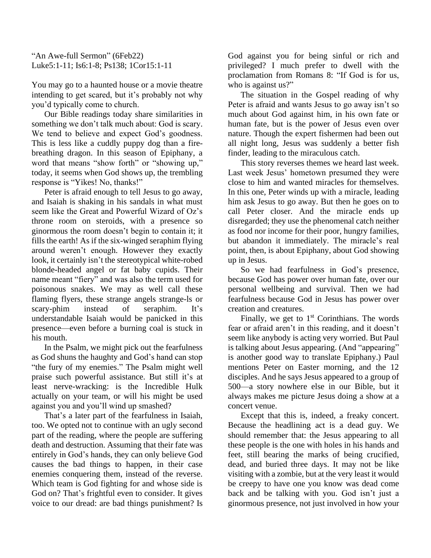## "An Awe-full Sermon" (6Feb22) Luke5:1-11; Is6:1-8; Ps138; 1Cor15:1-11

You may go to a haunted house or a movie theatre intending to get scared, but it's probably not why you'd typically come to church.

Our Bible readings today share similarities in something we don't talk much about: God is scary. We tend to believe and expect God's goodness. This is less like a cuddly puppy dog than a firebreathing dragon. In this season of Epiphany, a word that means "show forth" or "showing up," today, it seems when God shows up, the trembling response is "Yikes! No, thanks!"

Peter is afraid enough to tell Jesus to go away, and Isaiah is shaking in his sandals in what must seem like the Great and Powerful Wizard of Oz's throne room on steroids, with a presence so ginormous the room doesn't begin to contain it; it fills the earth! As if the six-winged seraphim flying around weren't enough. However they exactly look, it certainly isn't the stereotypical white-robed blonde-headed angel or fat baby cupids. Their name meant "fiery" and was also the term used for poisonous snakes. We may as well call these flaming flyers, these strange angels strange-ls or scary-phim instead of seraphim. It's understandable Isaiah would be panicked in this presence—even before a burning coal is stuck in his mouth.

In the Psalm, we might pick out the fearfulness as God shuns the haughty and God's hand can stop "the fury of my enemies." The Psalm might well praise such powerful assistance. But still it's at least nerve-wracking: is the Incredible Hulk actually on your team, or will his might be used against you and you'll wind up smashed?

That's a later part of the fearfulness in Isaiah, too. We opted not to continue with an ugly second part of the reading, where the people are suffering death and destruction. Assuming that their fate was entirely in God's hands, they can only believe God causes the bad things to happen, in their case enemies conquering them, instead of the reverse. Which team is God fighting for and whose side is God on? That's frightful even to consider. It gives voice to our dread: are bad things punishment? Is God against you for being sinful or rich and privileged? I much prefer to dwell with the proclamation from Romans 8: "If God is for us, who is against us?"

The situation in the Gospel reading of why Peter is afraid and wants Jesus to go away isn't so much about God against him, in his own fate or human fate, but is the power of Jesus even over nature. Though the expert fishermen had been out all night long, Jesus was suddenly a better fish finder, leading to the miraculous catch.

This story reverses themes we heard last week. Last week Jesus' hometown presumed they were close to him and wanted miracles for themselves. In this one, Peter winds up with a miracle, leading him ask Jesus to go away. But then he goes on to call Peter closer. And the miracle ends up disregarded; they use the phenomenal catch neither as food nor income for their poor, hungry families, but abandon it immediately. The miracle's real point, then, is about Epiphany, about God showing up in Jesus.

So we had fearfulness in God's presence, because God has power over human fate, over our personal wellbeing and survival. Then we had fearfulness because God in Jesus has power over creation and creatures.

Finally, we get to  $1<sup>st</sup>$  Corinthians. The words fear or afraid aren't in this reading, and it doesn't seem like anybody is acting very worried. But Paul is talking about Jesus appearing. (And "appearing" is another good way to translate Epiphany.) Paul mentions Peter on Easter morning, and the 12 disciples. And he says Jesus appeared to a group of 500—a story nowhere else in our Bible, but it always makes me picture Jesus doing a show at a concert venue.

Except that this is, indeed, a freaky concert. Because the headlining act is a dead guy. We should remember that: the Jesus appearing to all these people is the one with holes in his hands and feet, still bearing the marks of being crucified, dead, and buried three days. It may not be like visiting with a zombie, but at the very least it would be creepy to have one you know was dead come back and be talking with you. God isn't just a ginormous presence, not just involved in how your